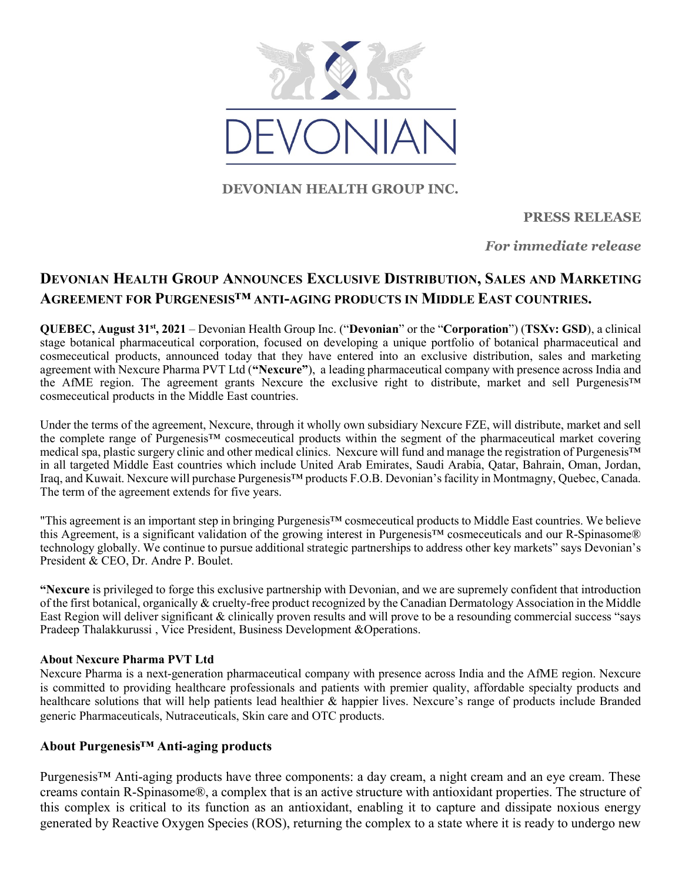

## DEVONIAN HEALTH GROUP INC.

## PRESS RELEASE

For immediate release

# DEVONIAN HEALTH GROUP ANNOUNCES EXCLUSIVE DISTRIBUTION, SALES AND MARKETING AGREEMENT FOR PURGENESIS™ ANTI-AGING PRODUCTS IN MIDDLE EAST COUNTRIES.

QUEBEC, August 31st, 2021 – Devonian Health Group Inc. ("Devonian" or the "Corporation") (TSXv: GSD), a clinical stage botanical pharmaceutical corporation, focused on developing a unique portfolio of botanical pharmaceutical and cosmeceutical products, announced today that they have entered into an exclusive distribution, sales and marketing agreement with Nexcure Pharma PVT Ltd ("Nexcure"), a leading pharmaceutical company with presence across India and the AfME region. The agreement grants Nexcure the exclusive right to distribute, market and sell Purgenesis™ cosmeceutical products in the Middle East countries.

Under the terms of the agreement, Nexcure, through it wholly own subsidiary Nexcure FZE, will distribute, market and sell the complete range of Purgenesis™ cosmeceutical products within the segment of the pharmaceutical market covering medical spa, plastic surgery clinic and other medical clinics. Nexcure will fund and manage the registration of Purgenesis™ in all targeted Middle East countries which include United Arab Emirates, Saudi Arabia, Qatar, Bahrain, Oman, Jordan, Iraq, and Kuwait. Nexcure will purchase Purgenesis™ products F.O.B. Devonian's facility in Montmagny, Quebec, Canada. The term of the agreement extends for five years.

"This agreement is an important step in bringing Purgenesis™ cosmeceutical products to Middle East countries. We believe this Agreement, is a significant validation of the growing interest in Purgenesis™ cosmeceuticals and our R-Spinasome® technology globally. We continue to pursue additional strategic partnerships to address other key markets" says Devonian's President & CEO, Dr. Andre P. Boulet.

"Nexcure is privileged to forge this exclusive partnership with Devonian, and we are supremely confident that introduction of the first botanical, organically & cruelty-free product recognized by the Canadian Dermatology Association in the Middle East Region will deliver significant & clinically proven results and will prove to be a resounding commercial success "says Pradeep Thalakkurussi , Vice President, Business Development &Operations.

#### About Nexcure Pharma PVT Ltd

Nexcure Pharma is a next-generation pharmaceutical company with presence across India and the AfME region. Nexcure is committed to providing healthcare professionals and patients with premier quality, affordable specialty products and healthcare solutions that will help patients lead healthier & happier lives. Nexcure's range of products include Branded generic Pharmaceuticals, Nutraceuticals, Skin care and OTC products.

#### About Purgenesis™ Anti-aging products

Purgenesis™ Anti-aging products have three components: a day cream, a night cream and an eye cream. These creams contain R-Spinasome®, a complex that is an active structure with antioxidant properties. The structure of this complex is critical to its function as an antioxidant, enabling it to capture and dissipate noxious energy generated by Reactive Oxygen Species (ROS), returning the complex to a state where it is ready to undergo new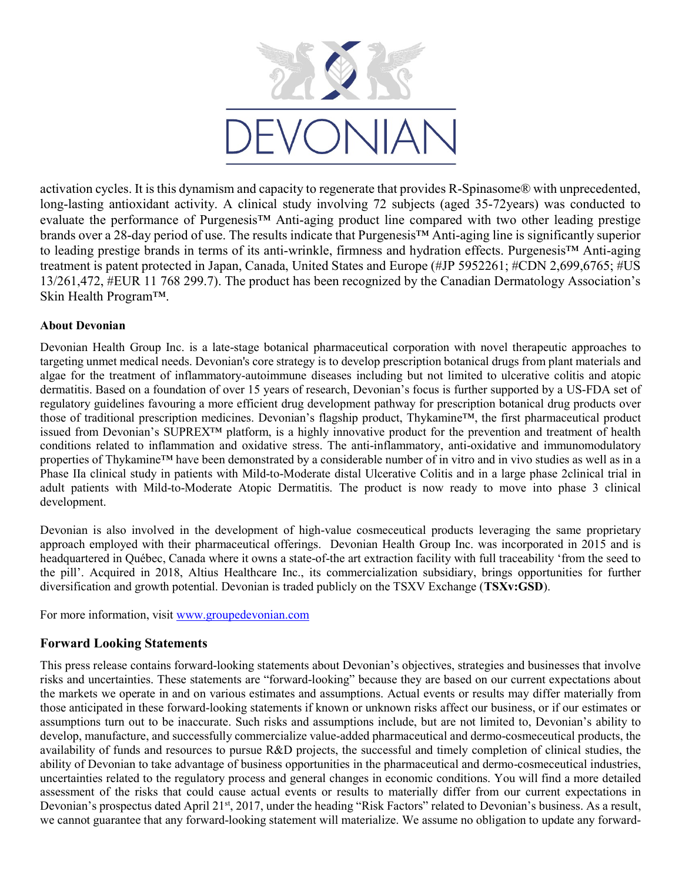

activation cycles. It is this dynamism and capacity to regenerate that provides R-Spinasome® with unprecedented, long-lasting antioxidant activity. A clinical study involving 72 subjects (aged 35-72years) was conducted to evaluate the performance of Purgenesis™ Anti-aging product line compared with two other leading prestige brands over a 28-day period of use. The results indicate that Purgenesis™ Anti-aging line is significantly superior to leading prestige brands in terms of its anti-wrinkle, firmness and hydration effects. Purgenesis™ Anti-aging treatment is patent protected in Japan, Canada, United States and Europe (#JP 5952261; #CDN 2,699,6765; #US 13/261,472, #EUR 11 768 299.7). The product has been recognized by the Canadian Dermatology Association's Skin Health Program™.

#### About Devonian

Devonian Health Group Inc. is a late-stage botanical pharmaceutical corporation with novel therapeutic approaches to targeting unmet medical needs. Devonian's core strategy is to develop prescription botanical drugs from plant materials and algae for the treatment of inflammatory-autoimmune diseases including but not limited to ulcerative colitis and atopic dermatitis. Based on a foundation of over 15 years of research, Devonian's focus is further supported by a US-FDA set of regulatory guidelines favouring a more efficient drug development pathway for prescription botanical drug products over those of traditional prescription medicines. Devonian's flagship product, Thykamine™, the first pharmaceutical product issued from Devonian's SUPREX™ platform, is a highly innovative product for the prevention and treatment of health conditions related to inflammation and oxidative stress. The anti-inflammatory, anti-oxidative and immunomodulatory properties of Thykamine™ have been demonstrated by a considerable number of in vitro and in vivo studies as well as in a Phase IIa clinical study in patients with Mild-to-Moderate distal Ulcerative Colitis and in a large phase 2clinical trial in adult patients with Mild-to-Moderate Atopic Dermatitis. The product is now ready to move into phase 3 clinical development.

Devonian is also involved in the development of high-value cosmeceutical products leveraging the same proprietary approach employed with their pharmaceutical offerings. Devonian Health Group Inc. was incorporated in 2015 and is headquartered in Québec, Canada where it owns a state-of-the art extraction facility with full traceability 'from the seed to the pill'. Acquired in 2018, Altius Healthcare Inc., its commercialization subsidiary, brings opportunities for further diversification and growth potential. Devonian is traded publicly on the TSXV Exchange (TSXv:GSD).

For more information, visit www.groupedevonian.com

### Forward Looking Statements

This press release contains forward-looking statements about Devonian's objectives, strategies and businesses that involve risks and uncertainties. These statements are "forward-looking" because they are based on our current expectations about the markets we operate in and on various estimates and assumptions. Actual events or results may differ materially from those anticipated in these forward-looking statements if known or unknown risks affect our business, or if our estimates or assumptions turn out to be inaccurate. Such risks and assumptions include, but are not limited to, Devonian's ability to develop, manufacture, and successfully commercialize value-added pharmaceutical and dermo-cosmeceutical products, the availability of funds and resources to pursue R&D projects, the successful and timely completion of clinical studies, the ability of Devonian to take advantage of business opportunities in the pharmaceutical and dermo-cosmeceutical industries, uncertainties related to the regulatory process and general changes in economic conditions. You will find a more detailed assessment of the risks that could cause actual events or results to materially differ from our current expectations in Devonian's prospectus dated April 21<sup>st</sup>, 2017, under the heading "Risk Factors" related to Devonian's business. As a result, we cannot guarantee that any forward-looking statement will materialize. We assume no obligation to update any forward-